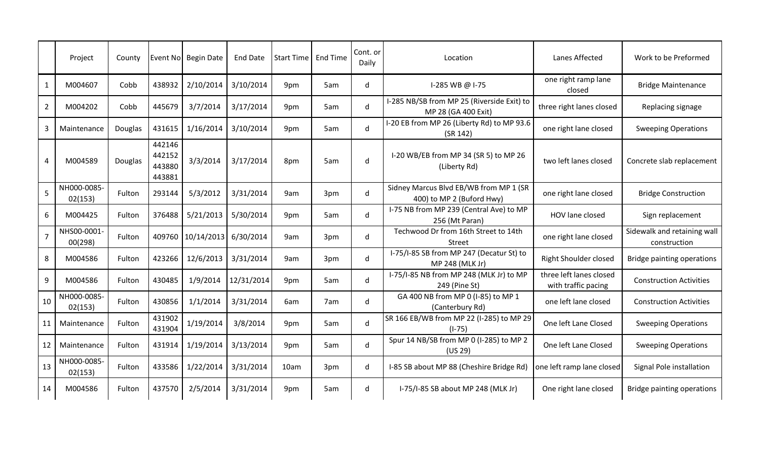|                | Project                | County  |                                      | Event No Begin Date | End Date   | Start Time   End Time |     | Cont. or<br>Daily | Location                                                            | Lanes Affected                                 | Work to be Preformed                        |
|----------------|------------------------|---------|--------------------------------------|---------------------|------------|-----------------------|-----|-------------------|---------------------------------------------------------------------|------------------------------------------------|---------------------------------------------|
| $\mathbf{1}$   | M004607                | Cobb    | 438932                               | 2/10/2014           | 3/10/2014  | 9pm                   | 5am | d                 | I-285 WB @ I-75                                                     | one right ramp lane<br>closed                  | <b>Bridge Maintenance</b>                   |
| $\overline{2}$ | M004202                | Cobb    | 445679                               | 3/7/2014            | 3/17/2014  | 9pm                   | 5am | d                 | I-285 NB/SB from MP 25 (Riverside Exit) to<br>MP 28 (GA 400 Exit)   | three right lanes closed                       | Replacing signage                           |
| $\overline{3}$ | Maintenance            | Douglas | 431615                               | 1/16/2014           | 3/10/2014  | 9pm                   | 5am | d                 | I-20 EB from MP 26 (Liberty Rd) to MP 93.6<br>(SR 142)              | one right lane closed                          | <b>Sweeping Operations</b>                  |
| $\overline{4}$ | M004589                | Douglas | 442146<br>442152<br>443880<br>443881 | 3/3/2014            | 3/17/2014  | 8pm                   | 5am | d                 | I-20 WB/EB from MP 34 (SR 5) to MP 26<br>(Liberty Rd)               | two left lanes closed                          | Concrete slab replacement                   |
| 5              | NH000-0085-<br>02(153) | Fulton  | 293144                               | 5/3/2012            | 3/31/2014  | 9am                   | 3pm | d                 | Sidney Marcus Blvd EB/WB from MP 1 (SR<br>400) to MP 2 (Buford Hwy) | one right lane closed                          | <b>Bridge Construction</b>                  |
| 6              | M004425                | Fulton  | 376488                               | 5/21/2013           | 5/30/2014  | 9pm                   | 5am | d                 | I-75 NB from MP 239 (Central Ave) to MP<br>256 (Mt Paran)           | HOV lane closed                                | Sign replacement                            |
| $\overline{7}$ | NHS00-0001-<br>00(298) | Fulton  | 409760                               | 10/14/2013          | 6/30/2014  | 9am                   | 3pm | d                 | Techwood Dr from 16th Street to 14th<br><b>Street</b>               | one right lane closed                          | Sidewalk and retaining wall<br>construction |
| 8              | M004586                | Fulton  | 423266                               | 12/6/2013           | 3/31/2014  | 9am                   | 3pm | $\mathsf{d}$      | I-75/I-85 SB from MP 247 (Decatur St) to<br>MP 248 (MLK Jr)         | <b>Right Shoulder closed</b>                   | Bridge painting operations                  |
| 9              | M004586                | Fulton  | 430485                               | 1/9/2014            | 12/31/2014 | 9pm                   | 5am | d                 | I-75/I-85 NB from MP 248 (MLK Jr) to MP<br>249 (Pine St)            | three left lanes closed<br>with traffic pacing | <b>Construction Activities</b>              |
| 10             | NH000-0085-<br>02(153) | Fulton  | 430856                               | 1/1/2014            | 3/31/2014  | 6am                   | 7am | d                 | GA 400 NB from MP 0 (I-85) to MP 1<br>(Canterbury Rd)               | one left lane closed                           | <b>Construction Activities</b>              |
| 11             | Maintenance            | Fulton  | 431902<br>431904                     | 1/19/2014           | 3/8/2014   | 9pm                   | 5am | $\mathsf{d}$      | SR 166 EB/WB from MP 22 (I-285) to MP 29<br>$(I-75)$                | One left Lane Closed                           | <b>Sweeping Operations</b>                  |
| 12             | Maintenance            | Fulton  | 431914                               | 1/19/2014           | 3/13/2014  | 9pm                   | 5am | $\mathsf{d}$      | Spur 14 NB/SB from MP 0 (I-285) to MP 2<br>(US 29)                  | One left Lane Closed                           | <b>Sweeping Operations</b>                  |
| 13             | NH000-0085-<br>02(153) | Fulton  | 433586                               | 1/22/2014           | 3/31/2014  | 10am                  | 3pm | d                 | I-85 SB about MP 88 (Cheshire Bridge Rd)                            | one left ramp lane closed                      | Signal Pole installation                    |
| 14             | M004586                | Fulton  | 437570                               | 2/5/2014            | 3/31/2014  | 9pm                   | 5am | d                 | I-75/I-85 SB about MP 248 (MLK Jr)                                  | One right lane closed                          | <b>Bridge painting operations</b>           |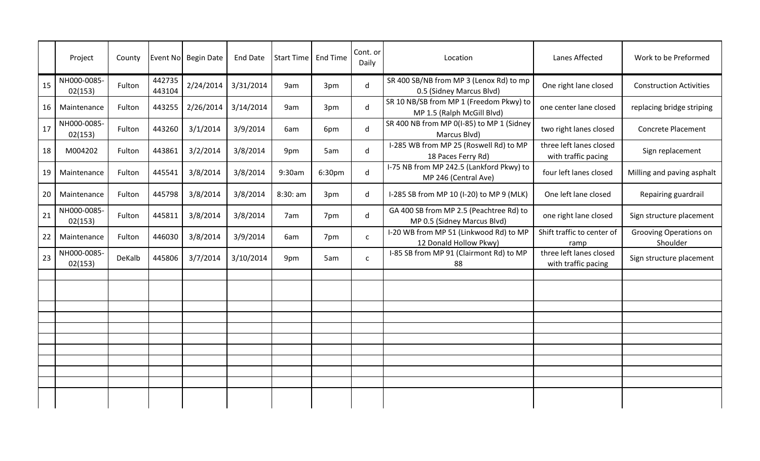|    | Project                | County | Event No         | <b>Begin Date</b> | <b>End Date</b> | Start Time | End Time | Cont. or<br>Daily | Location                                                               | Lanes Affected                                 | Work to be Preformed               |
|----|------------------------|--------|------------------|-------------------|-----------------|------------|----------|-------------------|------------------------------------------------------------------------|------------------------------------------------|------------------------------------|
| 15 | NH000-0085-<br>02(153) | Fulton | 442735<br>443104 | 2/24/2014         | 3/31/2014       | 9am        | 3pm      | d                 | SR 400 SB/NB from MP 3 (Lenox Rd) to mp<br>0.5 (Sidney Marcus Blvd)    | One right lane closed                          | <b>Construction Activities</b>     |
| 16 | Maintenance            | Fulton | 443255           | 2/26/2014         | 3/14/2014       | 9am        | 3pm      | d                 | SR 10 NB/SB from MP 1 (Freedom Pkwy) to<br>MP 1.5 (Ralph McGill Blvd)  | one center lane closed                         | replacing bridge striping          |
| 17 | NH000-0085-<br>02(153) | Fulton | 443260           | 3/1/2014          | 3/9/2014        | 6am        | 6pm      | d                 | SR 400 NB from MP 0(I-85) to MP 1 (Sidney<br>Marcus Blvd)              | two right lanes closed                         | <b>Concrete Placement</b>          |
| 18 | M004202                | Fulton | 443861           | 3/2/2014          | 3/8/2014        | 9pm        | 5am      | d                 | I-285 WB from MP 25 (Roswell Rd) to MP<br>18 Paces Ferry Rd)           | three left lanes closed<br>with traffic pacing | Sign replacement                   |
| 19 | Maintenance            | Fulton | 445541           | 3/8/2014          | 3/8/2014        | 9:30am     | 6:30pm   | d                 | I-75 NB from MP 242.5 (Lankford Pkwy) to<br>MP 246 (Central Ave)       | four left lanes closed                         | Milling and paving asphalt         |
| 20 | Maintenance            | Fulton | 445798           | 3/8/2014          | 3/8/2014        | 8:30:am    | 3pm      | d                 | I-285 SB from MP 10 (I-20) to MP 9 (MLK)                               | One left lane closed                           | Repairing guardrail                |
| 21 | NH000-0085-<br>02(153) | Fulton | 445811           | 3/8/2014          | 3/8/2014        | 7am        | 7pm      | d                 | GA 400 SB from MP 2.5 (Peachtree Rd) to<br>MP 0.5 (Sidney Marcus Blvd) | one right lane closed                          | Sign structure placement           |
| 22 | Maintenance            | Fulton | 446030           | 3/8/2014          | 3/9/2014        | 6am        | 7pm      | $\mathsf{C}$      | I-20 WB from MP 51 (Linkwood Rd) to MP<br>12 Donald Hollow Pkwy)       | Shift traffic to center of<br>ramp             | Grooving Operations on<br>Shoulder |
| 23 | NH000-0085-<br>02(153) | DeKalb | 445806           | 3/7/2014          | 3/10/2014       | 9pm        | 5am      | $\mathsf{C}$      | I-85 SB from MP 91 (Clairmont Rd) to MP<br>88                          | three left lanes closed<br>with traffic pacing | Sign structure placement           |
|    |                        |        |                  |                   |                 |            |          |                   |                                                                        |                                                |                                    |
|    |                        |        |                  |                   |                 |            |          |                   |                                                                        |                                                |                                    |
|    |                        |        |                  |                   |                 |            |          |                   |                                                                        |                                                |                                    |
|    |                        |        |                  |                   |                 |            |          |                   |                                                                        |                                                |                                    |
|    |                        |        |                  |                   |                 |            |          |                   |                                                                        |                                                |                                    |
|    |                        |        |                  |                   |                 |            |          |                   |                                                                        |                                                |                                    |
|    |                        |        |                  |                   |                 |            |          |                   |                                                                        |                                                |                                    |
|    |                        |        |                  |                   |                 |            |          |                   |                                                                        |                                                |                                    |
|    |                        |        |                  |                   |                 |            |          |                   |                                                                        |                                                |                                    |
|    |                        |        |                  |                   |                 |            |          |                   |                                                                        |                                                |                                    |